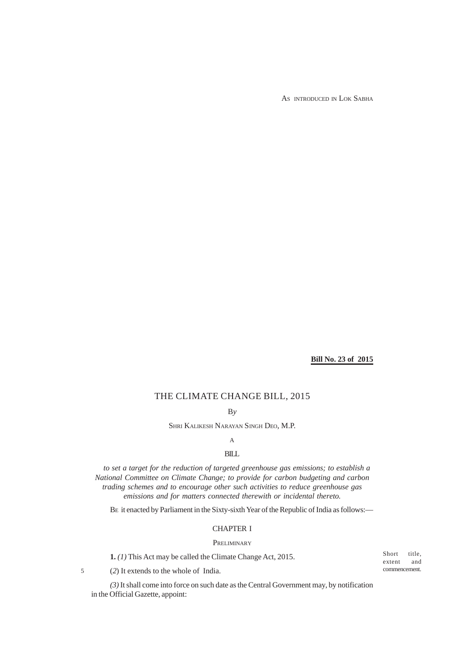AS INTRODUCED IN LOK SABHA

**Bill No. 23 of 2015**

# THE CLIMATE CHANGE BILL, 2015

B*y*

SHRI KALIKESH NARAYAN SINGH DEO, M.P.

# A

# **BILL**

*to set a target for the reduction of targeted greenhouse gas emissions; to establish a National Committee on Climate Change; to provide for carbon budgeting and carbon trading schemes and to encourage other such activities to reduce greenhouse gas emissions and for matters connected therewith or incidental thereto.*

BE it enacted by Parliament in the Sixty-sixth Year of the Republic of India as follows:—

# CHAPTER I

### PRELIMINARY

**1.** *(1)* This Act may be called the Climate Change Act, 2015.

(*2*) It extends to the whole of India. commencement. 5

*(3)* It shall come into force on such date as the Central Government may, by notification in the Official Gazette, appoint:

Short title,<br>extent and extent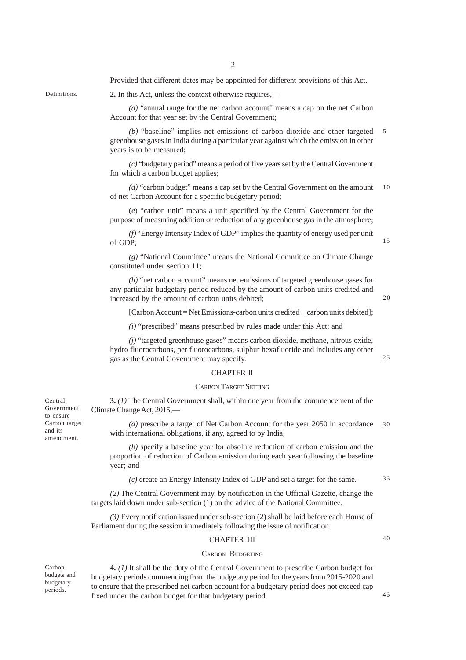**2.** In this Act, unless the context otherwise requires,—

Provided that different dates may be appointed for different provisions of this Act.

Definitions.

*(a)* "annual range for the net carbon account" means a cap on the net Carbon Account for that year set by the Central Government;

*(b)* "baseline" implies net emissions of carbon dioxide and other targeted greenhouse gases in India during a particular year against which the emission in other years is to be measured; 5

*(c)* "budgetary period" means a period of five years set by the Central Government for which a carbon budget applies;

*(d)* "carbon budget" means a cap set by the Central Government on the amount of net Carbon Account for a specific budgetary period; 10

(*e*) "carbon unit" means a unit specified by the Central Government for the purpose of measuring addition or reduction of any greenhouse gas in the atmosphere;

*(f)* "Energy Intensity Index of GDP" implies the quantity of energy used per unit of GDP;

15

*(g)* "National Committee" means the National Committee on Climate Change constituted under section 11;

*(h)* "net carbon account" means net emissions of targeted greenhouse gases for any particular budgetary period reduced by the amount of carbon units credited and increased by the amount of carbon units debited;

[Carbon Account = Net Emissions-carbon units credited + carbon units debited];

*(i)* "prescribed" means prescribed by rules made under this Act; and

*(j)* "targeted greenhouse gases" means carbon dioxide, methane, nitrous oxide, hydro fluorocarbons, per fluorocarbons, sulphur hexafluoride and includes any other gas as the Central Government may specify.

## CHAPTER II

#### CARBON TARGET SETTING

**3.** *(1)* The Central Government shall, within one year from the commencement of the Climate Change Act, 2015,—

*(a)* prescribe a target of Net Carbon Account for the year 2050 in accordance with international obligations, if any, agreed to by India; 30

*(b)* specify a baseline year for absolute reduction of carbon emission and the proportion of reduction of Carbon emission during each year following the baseline year; and

*(c)* create an Energy Intensity Index of GDP and set a target for the same.

*(2)* The Central Government may, by notification in the Official Gazette, change the targets laid down under sub-section (1) on the advice of the National Committee.

*(3)* Every notification issued under sub-section (2) shall be laid before each House of Parliament during the session immediately following the issue of notification.

### CHAPTER III

#### CARBON BUDGETING

Carbon budgets and budgetary periods.

Central Government to ensure Carbon target and its amendment.

> **4.** *(1)* It shall be the duty of the Central Government to prescribe Carbon budget for budgetary periods commencing from the budgetary period for the years from 2015-2020 and to ensure that the prescribed net carbon account for a budgetary period does not exceed cap fixed under the carbon budget for that budgetary period.

 $25$ 

35

40

45

20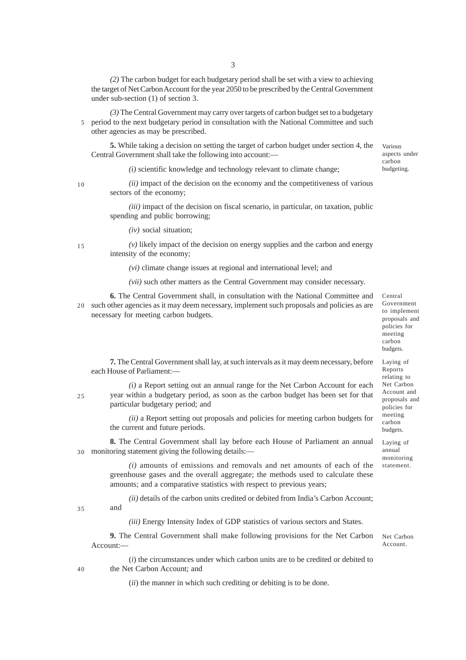*(2)* The carbon budget for each budgetary period shall be set with a view to achieving the target of Net Carbon Account for the year 2050 to be prescribed by the Central Government under sub-section (1) of section 3.

*(3)* The Central Government may carry over targets of carbon budget set to a budgetary period to the next budgetary period in consultation with the National Committee and such other agencies as may be prescribed. 5

**5.** While taking a decision on setting the target of carbon budget under section 4, the Central Government shall take the following into account:—

*(i)* scientific knowledge and technology relevant to climate change;

10

*(ii)* impact of the decision on the economy and the competitiveness of various sectors of the economy;

*(iii)* impact of the decision on fiscal scenario, in particular, on taxation, public spending and public borrowing;

*(iv)* social situation;

15

*(v)* likely impact of the decision on energy supplies and the carbon and energy intensity of the economy;

*(vi)* climate change issues at regional and international level; and

*(vii)* such other matters as the Central Government may consider necessary.

**6.** The Central Government shall, in consultation with the National Committee and 20 such other agencies as it may deem necessary, implement such proposals and policies as are necessary for meeting carbon budgets.

Central Government to implement proposals and policies for meeting carbon budgets.

Laying of Reports relating to Net Carbon Account and proposals and policies for meeting carbon budgets. Laying of annual monitoring statement.

**7.** The Central Government shall lay, at such intervals as it may deem necessary, before each House of Parliament:—

 $25$ 

*(i)* a Report setting out an annual range for the Net Carbon Account for each year within a budgetary period, as soon as the carbon budget has been set for that particular budgetary period; and

*(ii)* a Report setting out proposals and policies for meeting carbon budgets for the current and future periods.

**8.** The Central Government shall lay before each House of Parliament an annual monitoring statement giving the following details:— 30

> *(i)* amounts of emissions and removals and net amounts of each of the greenhouse gases and the overall aggregate; the methods used to calculate these amounts; and a comparative statistics with respect to previous years;

> *(ii)* details of the carbon units credited or debited from India's Carbon Account; and

35

*(iii)* Energy Intensity Index of GDP statistics of various sectors and States.

**9.** The Central Government shall make following provisions for the Net Carbon Account:—

(*i*) the circumstances under which carbon units are to be credited or debited to the Net Carbon Account; and

(*ii*) the manner in which such crediting or debiting is to be done.

Various aspects under carbon budgeting.

Net Carbon Account.

40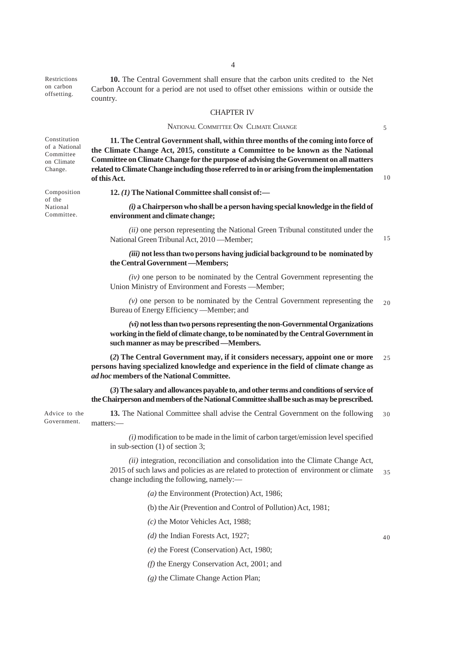4

Restrictions on carbon offsetting.

**10.** The Central Government shall ensure that the carbon units credited to the Net Carbon Account for a period are not used to offset other emissions within or outside the country.

#### CHAPTER IV

### NATIONAL COMMITTEE ON CLIMATE CHANGE

Constitution of a National Committee on Climate Change.

Composition of the National Committee.

**11. The Central Government shall, within three months of the coming into force of the Climate Change Act, 2015, constitute a Committee to be known as the National Committee on Climate Change for the purpose of advising the Government on all matters related to Climate Change including those referred to in or arising from the implementation of this Act.**

**12.** *(1)* **The National Committee shall consist of:—**

*(i)* **a Chairperson who shall be a person having special knowledge in the field of environment and climate change;**

*(ii)* one person representing the National Green Tribunal constituted under the National Green Tribunal Act, 2010 —Member;

*(iii)* **not less than two persons having judicial background to be nominated by the Central Government —Members;**

*(iv)* one person to be nominated by the Central Government representing the Union Ministry of Environment and Forests —Member;

*(v)* one person to be nominated by the Central Government representing the Bureau of Energy Efficiency —Member; and 20

*(vi)* **not less than two persons representing the non-Governmental Organizations working in the field of climate change, to be nominated by the Central Government in such manner as may be prescribed —Members.**

**(***2***) The Central Government may, if it considers necessary, appoint one or more persons having specialized knowledge and experience in the field of climate change as** *ad hoc* **members of the National Committee.**  $25$ 

**(***3***) The salary and allowances payable to, and other terms and conditions of service of the Chairperson and members of the National Committee shall be such as may be prescribed.**

**13.** The National Committee shall advise the Central Government on the following matters:— Advice to the Government. 30

> *(i)* modification to be made in the limit of carbon target/emission level specified in sub-section (1) of section 3;

*(ii)* integration, reconciliation and consolidation into the Climate Change Act, 2015 of such laws and policies as are related to protection of environment or climate change including the following, namely:— 35

*(a)* the Environment (Protection) Act, 1986;

(b) the Air (Prevention and Control of Pollution) Act, 1981;

*(c)* the Motor Vehicles Act, 1988;

*(d)* the Indian Forests Act, 1927;

*(e)* the Forest (Conservation) Act, 1980;

*(f)* the Energy Conservation Act, 2001; and

*(g)* the Climate Change Action Plan;

40

5

10

15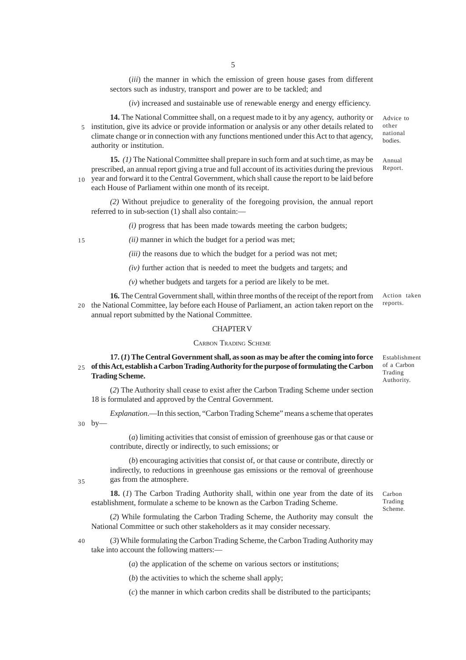(*iii*) the manner in which the emission of green house gases from different sectors such as industry, transport and power are to be tackled; and

(*iv*) increased and sustainable use of renewable energy and energy efficiency.

**14.** The National Committee shall, on a request made to it by any agency, authority or 5 institution, give its advice or provide information or analysis or any other details related to climate change or in connection with any functions mentioned under this Act to that agency, authority or institution.

**15.** *(1)* The National Committee shall prepare in such form and at such time, as may be prescribed, an annual report giving a true and full account of its activities during the previous 10 year and forward it to the Central Government, which shall cause the report to be laid before

each House of Parliament within one month of its receipt.

*(2)* Without prejudice to generality of the foregoing provision, the annual report referred to in sub-section (1) shall also contain:—

*(i)* progress that has been made towards meeting the carbon budgets;

15

*(ii)* manner in which the budget for a period was met;

*(iii)* the reasons due to which the budget for a period was not met;

*(iv)* further action that is needed to meet the budgets and targets; and

*(v)* whether budgets and targets for a period are likely to be met.

**16.** The Central Government shall, within three months of the receipt of the report from 20 the National Committee, lay before each House of Parliament, an action taken report on the annual report submitted by the National Committee. Action taken

#### CHAPTER V

#### CARBON TRADING SCHEME

**17. (***1***) The Central Government shall, as soon as may be after the coming into force of this Act, establish a Carbon Trading Authority for the purpose of formulating the Carbon** 25 **Trading Scheme.**

Establishment of a Carbon Trading Authority.

(*2*) The Authority shall cease to exist after the Carbon Trading Scheme under section 18 is formulated and approved by the Central Government.

*Explanation*.—In this section, "Carbon Trading Scheme" means a scheme that operates by— 30

> (*a*) limiting activities that consist of emission of greenhouse gas or that cause or contribute, directly or indirectly, to such emissions; or

> (*b*) encouraging activities that consist of, or that cause or contribute, directly or indirectly, to reductions in greenhouse gas emissions or the removal of greenhouse gas from the atmosphere.

35

**18.** (*1*) The Carbon Trading Authority shall, within one year from the date of its establishment, formulate a scheme to be known as the Carbon Trading Scheme.

(*2*) While formulating the Carbon Trading Scheme, the Authority may consult the National Committee or such other stakeholders as it may consider necessary.

40

(*3*) While formulating the Carbon Trading Scheme, the Carbon Trading Authority may take into account the following matters:—

(*a*) the application of the scheme on various sectors or institutions;

(*b*) the activities to which the scheme shall apply;

(*c*) the manner in which carbon credits shall be distributed to the participants;

Advice to other national bodies.

Annual Report.

reports.

Carbon Trading Scheme.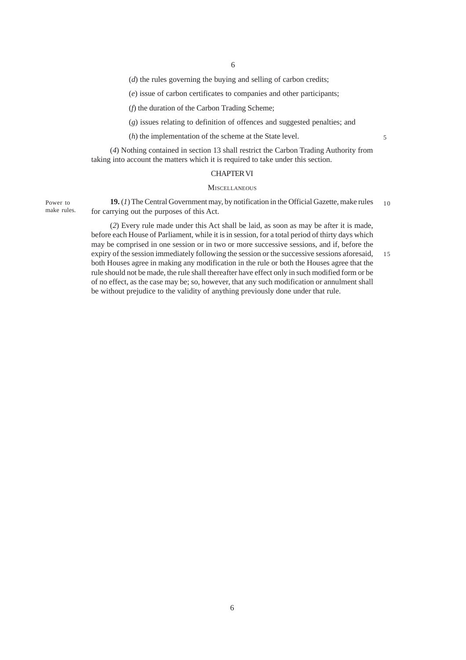(*d*) the rules governing the buying and selling of carbon credits;

(*e*) issue of carbon certificates to companies and other participants;

(*f*) the duration of the Carbon Trading Scheme;

(*g*) issues relating to definition of offences and suggested penalties; and

(*h*) the implementation of the scheme at the State level.

5

(*4*) Nothing contained in section 13 shall restrict the Carbon Trading Authority from taking into account the matters which it is required to take under this section.

### CHAPTER VI

### **MISCELLANEOUS**

Power to make rules.

**19.** (*1*) The Central Government may, by notification in the Official Gazette, make rules for carrying out the purposes of this Act. 10

(*2*) Every rule made under this Act shall be laid, as soon as may be after it is made, before each House of Parliament, while it is in session, for a total period of thirty days which may be comprised in one session or in two or more successive sessions, and if, before the expiry of the session immediately following the session or the successive sessions aforesaid, both Houses agree in making any modification in the rule or both the Houses agree that the rule should not be made, the rule shall thereafter have effect only in such modified form or be of no effect, as the case may be; so, however, that any such modification or annulment shall be without prejudice to the validity of anything previously done under that rule. 15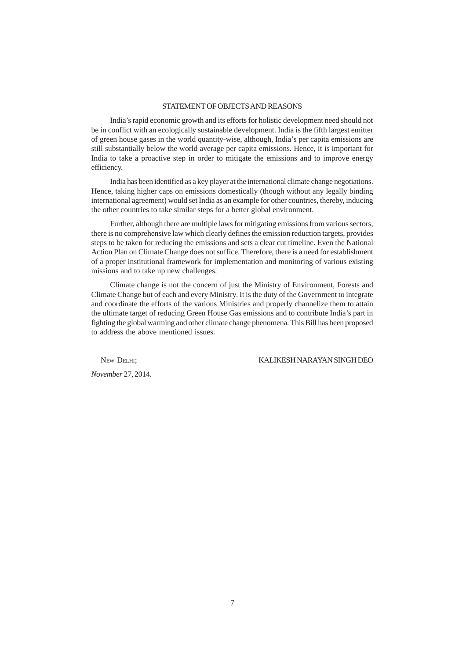### STATEMENT OF OBJECTS AND REASONS

India's rapid economic growth and its efforts for holistic development need should not be in conflict with an ecologically sustainable development. India is the fifth largest emitter of green house gases in the world quantity-wise, although, India's per capita emissions are still substantially below the world average per capita emissions. Hence, it is important for India to take a proactive step in order to mitigate the emissions and to improve energy efficiency.

India has been identified as a key player at the international climate change negotiations. Hence, taking higher caps on emissions domestically (though without any legally binding international agreement) would set India as an example for other countries, thereby, inducing the other countries to take similar steps for a better global environment.

Further, although there are multiple laws for mitigating emissions from various sectors, there is no comprehensive law which clearly defines the emission reduction targets, provides steps to be taken for reducing the emissions and sets a clear cut timeline. Even the National Action Plan on Climate Change does not suffice. Therefore, there is a need for establishment of a proper institutional framework for implementation and monitoring of various existing missions and to take up new challenges.

Climate change is not the concern of just the Ministry of Environment, Forests and Climate Change but of each and every Ministry. It is the duty of the Government to integrate and coordinate the efforts of the various Ministries and properly channelize them to attain the ultimate target of reducing Green House Gas emissions and to contribute India's part in fighting the global warming and other climate change phenomena. This Bill has been proposed to address the above mentioned issues.

NEW DELHI; KALIKESH NARAYAN SINGH DEO

*November* 27, 2014.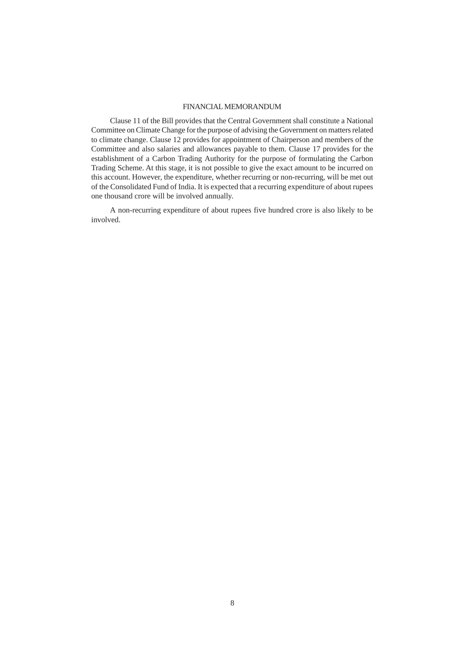## FINANCIAL MEMORANDUM

Clause 11 of the Bill provides that the Central Government shall constitute a National Committee on Climate Change for the purpose of advising the Government on matters related to climate change. Clause 12 provides for appointment of Chairperson and members of the Committee and also salaries and allowances payable to them. Clause 17 provides for the establishment of a Carbon Trading Authority for the purpose of formulating the Carbon Trading Scheme. At this stage, it is not possible to give the exact amount to be incurred on this account. However, the expenditure, whether recurring or non-recurring, will be met out of the Consolidated Fund of India. It is expected that a recurring expenditure of about rupees one thousand crore will be involved annually.

A non-recurring expenditure of about rupees five hundred crore is also likely to be involved.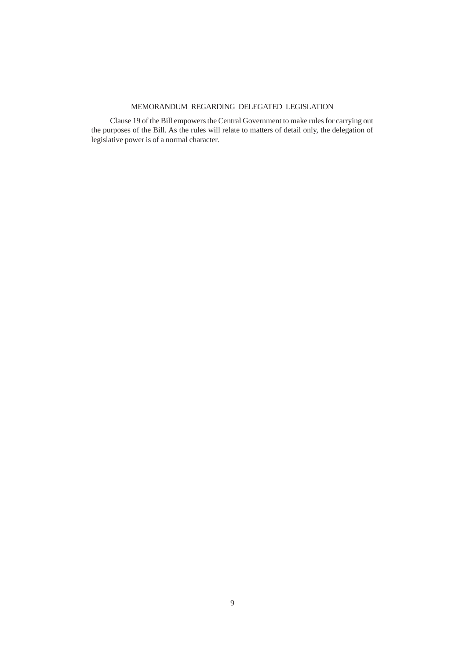# MEMORANDUM REGARDING DELEGATED LEGISLATION

Clause 19 of the Bill empowers the Central Government to make rules for carrying out the purposes of the Bill. As the rules will relate to matters of detail only, the delegation of legislative power is of a normal character.